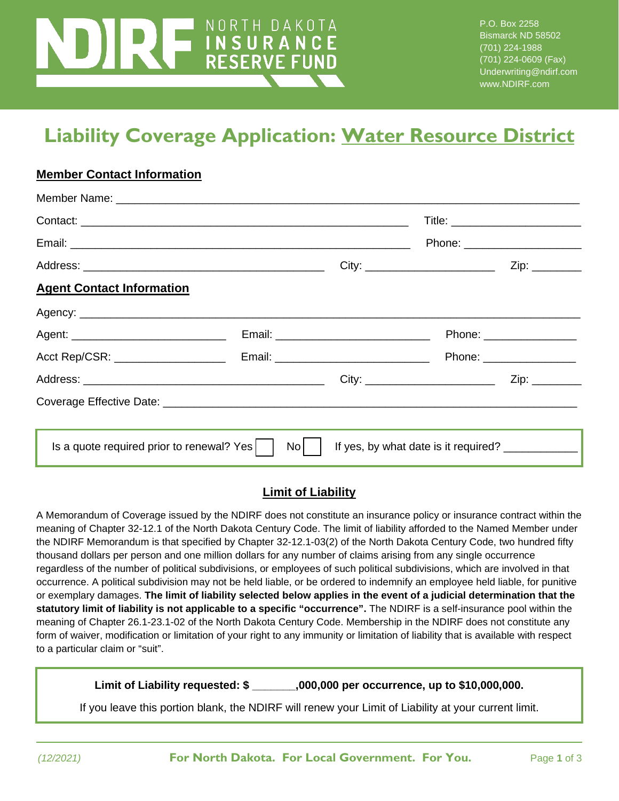# NORTH DAKOTA **TIABILITY COVERAGE**<br>THE RESERVE FUND

P.O. Box 2258 Bismarck ND 58502 (701) 224-1988 (701) 224-0609 (Fax) Underwriting@ndirf.com www.NDIRF.com

## **Liability Coverage Application: Water Resource District**

#### **Member Contact Information**

|                                           |    |                                                   | $\mathsf{Zip:}\_\_\_\_\_\_\_\_\$ |
|-------------------------------------------|----|---------------------------------------------------|----------------------------------|
| <b>Agent Contact Information</b>          |    |                                                   |                                  |
|                                           |    |                                                   |                                  |
|                                           |    |                                                   | Phone: _________________         |
| Acct Rep/CSR: ____________________        |    |                                                   | Phone: __________________        |
|                                           |    |                                                   | Zip: ________                    |
|                                           |    |                                                   |                                  |
|                                           |    |                                                   |                                  |
| Is a quote required prior to renewal? Yes | No | If yes, by what date is it required? ____________ |                                  |

#### **Limit of Liability**

A Memorandum of Coverage issued by the NDIRF does not constitute an insurance policy or insurance contract within the meaning of Chapter 32-12.1 of the North Dakota Century Code. The limit of liability afforded to the Named Member under the NDIRF Memorandum is that specified by Chapter 32-12.1-03(2) of the North Dakota Century Code, two hundred fifty thousand dollars per person and one million dollars for any number of claims arising from any single occurrence regardless of the number of political subdivisions, or employees of such political subdivisions, which are involved in that occurrence. A political subdivision may not be held liable, or be ordered to indemnify an employee held liable, for punitive or exemplary damages. **The limit of liability selected below applies in the event of a judicial determination that the statutory limit of liability is not applicable to a specific "occurrence".** The NDIRF is a self-insurance pool within the meaning of Chapter 26.1-23.1-02 of the North Dakota Century Code. Membership in the NDIRF does not constitute any form of waiver, modification or limitation of your right to any immunity or limitation of liability that is available with respect to a particular claim or "suit".

**Limit of Liability requested: \$ \_\_\_\_\_\_\_,000,000 per occurrence, up to \$10,000,000.**

If you leave this portion blank, the NDIRF will renew your Limit of Liability at your current limit.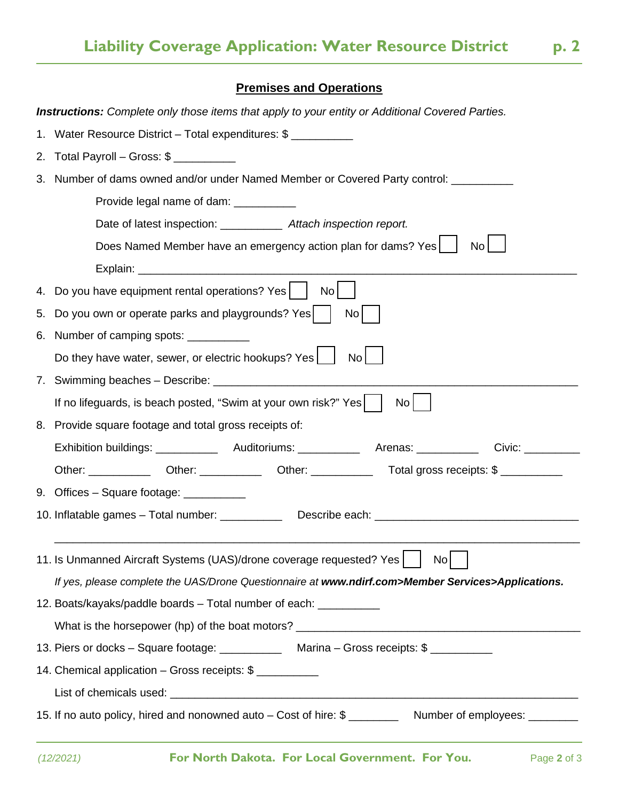#### **Premises and Operations**

|    | <b>Instructions:</b> Complete only those items that apply to your entity or Additional Covered Parties.        |  |  |  |
|----|----------------------------------------------------------------------------------------------------------------|--|--|--|
|    | 1. Water Resource District - Total expenditures: \$                                                            |  |  |  |
|    | 2. Total Payroll – Gross: $\frac{6}{2}$                                                                        |  |  |  |
|    | 3. Number of dams owned and/or under Named Member or Covered Party control:                                    |  |  |  |
|    | Provide legal name of dam: ___________                                                                         |  |  |  |
|    | Date of latest inspection: _____________ Attach inspection report.                                             |  |  |  |
|    | Does Named Member have an emergency action plan for dams? Yes<br>No <sub>l</sub>                               |  |  |  |
|    |                                                                                                                |  |  |  |
|    | 4. Do you have equipment rental operations? Yes  <br>No <sup>1</sup>                                           |  |  |  |
|    | 5. Do you own or operate parks and playgrounds? Yes  <br>No <sub>l</sub>                                       |  |  |  |
| 6. | Number of camping spots: ___________                                                                           |  |  |  |
|    | Do they have water, sewer, or electric hookups? Yes<br>No <sub>1</sub>                                         |  |  |  |
| 7. |                                                                                                                |  |  |  |
|    | If no lifeguards, is beach posted, "Swim at your own risk?" Yes  <br>No <sub>1</sub>                           |  |  |  |
|    | 8. Provide square footage and total gross receipts of:                                                         |  |  |  |
|    |                                                                                                                |  |  |  |
|    | Other: _______________Other: ______________Other: ______________________Total gross receipts: \$ _____________ |  |  |  |
|    | 9. Offices – Square footage: ___________                                                                       |  |  |  |
|    | 10. Inflatable games - Total number: ______________ Describe each: _________________________________           |  |  |  |
|    |                                                                                                                |  |  |  |
|    | 11. Is Unmanned Aircraft Systems (UAS)/drone coverage requested? Yes     No                                    |  |  |  |
|    | If yes, please complete the UAS/Drone Questionnaire at www.ndirf.com>Member Services>Applications.             |  |  |  |
|    | 12. Boats/kayaks/paddle boards - Total number of each: ___________                                             |  |  |  |
|    |                                                                                                                |  |  |  |
|    | 13. Piers or docks - Square footage: ______________ Marina - Gross receipts: \$ __________                     |  |  |  |
|    | 14. Chemical application - Gross receipts: \$                                                                  |  |  |  |
|    |                                                                                                                |  |  |  |
|    | 15. If no auto policy, hired and nonowned auto – Cost of hire: \$ ____________ Number of employees: ________   |  |  |  |
|    |                                                                                                                |  |  |  |